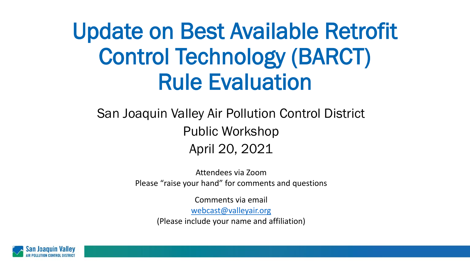# Update on Best Available Retrofit Control Technology (BARCT) Rule Evaluation

#### San Joaquin Valley Air Pollution Control District Public Workshop April 20, 2021

Attendees via Zoom Please "raise your hand" for comments and questions

> Comments via email [webcast@valleyair.org](mailto:webcast@valleyair.org) (Please include your name and affiliation)

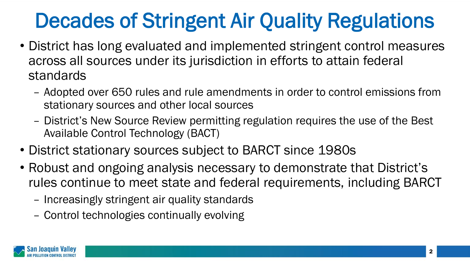## Decades of Stringent Air Quality Regulations

- District has long evaluated and implemented stringent control measures across all sources under its jurisdiction in efforts to attain federal standards
	- Adopted over 650 rules and rule amendments in order to control emissions from stationary sources and other local sources
	- District's New Source Review permitting regulation requires the use of the Best Available Control Technology (BACT)
- District stationary sources subject to BARCT since 1980s
- Robust and ongoing analysis necessary to demonstrate that District's rules continue to meet state and federal requirements, including BARCT
	- Increasingly stringent air quality standards
	- Control technologies continually evolving

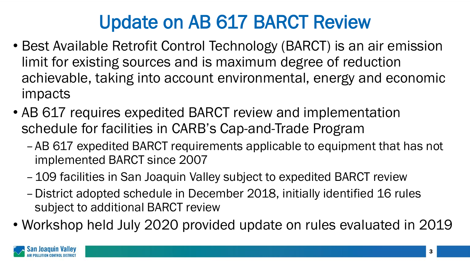## Update on AB 617 BARCT Review

- Best Available Retrofit Control Technology (BARCT) is an air emission limit for existing sources and is maximum degree of reduction achievable, taking into account environmental, energy and economic impacts
- AB 617 requires expedited BARCT review and implementation schedule for facilities in CARB's Cap-and-Trade Program
	- –AB 617 expedited BARCT requirements applicable to equipment that has not implemented BARCT since 2007
	- –109 facilities in San Joaquin Valley subject to expedited BARCT review
	- –District adopted schedule in December 2018, initially identified 16 rules subject to additional BARCT review
- Workshop held July 2020 provided update on rules evaluated in 2019

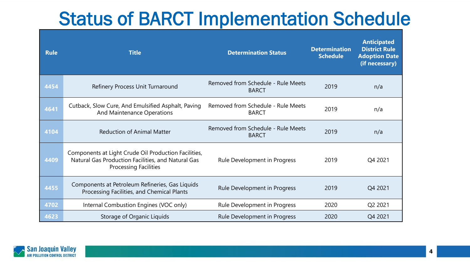#### Status of BARCT Implementation Schedule

| <b>Rule</b> | <b>Title</b>                                                                                                                               | <b>Determination Status</b>                        | <b>Determination</b><br><b>Schedule</b> | <b>Anticipated</b><br><b>District Rule</b><br><b>Adoption Date</b><br>(if necessary) |
|-------------|--------------------------------------------------------------------------------------------------------------------------------------------|----------------------------------------------------|-----------------------------------------|--------------------------------------------------------------------------------------|
| 4454        | Refinery Process Unit Turnaround                                                                                                           | Removed from Schedule - Rule Meets<br><b>BARCT</b> | 2019                                    | n/a                                                                                  |
| 4641        | Cutback, Slow Cure, And Emulsified Asphalt, Paving<br>And Maintenance Operations                                                           | Removed from Schedule - Rule Meets<br><b>BARCT</b> | 2019                                    | n/a                                                                                  |
| 4104        | <b>Reduction of Animal Matter</b>                                                                                                          | Removed from Schedule - Rule Meets<br><b>BARCT</b> | 2019                                    | n/a                                                                                  |
| 4409        | Components at Light Crude Oil Production Facilities,<br>Natural Gas Production Facilities, and Natural Gas<br><b>Processing Facilities</b> | Rule Development in Progress                       | 2019                                    | Q4 2021                                                                              |
| 4455        | Components at Petroleum Refineries, Gas Liquids<br>Processing Facilities, and Chemical Plants                                              | Rule Development in Progress                       | 2019                                    | Q4 2021                                                                              |
| 4702        | Internal Combustion Engines (VOC only)                                                                                                     | Rule Development in Progress                       | 2020                                    | Q2 2021                                                                              |
| 4623        | Storage of Organic Liquids                                                                                                                 | Rule Development in Progress                       | 2020                                    | Q4 2021                                                                              |

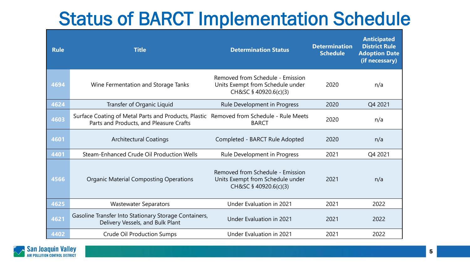#### Status of BARCT Implementation Schedule

| <b>Rule</b> | <b>Title</b>                                                                                                                       | <b>Determination Status</b>                                                                   | <b>Determination</b><br><b>Schedule</b> | <b>Anticipated</b><br><b>District Rule</b><br><b>Adoption Date</b><br>(if necessary) |
|-------------|------------------------------------------------------------------------------------------------------------------------------------|-----------------------------------------------------------------------------------------------|-----------------------------------------|--------------------------------------------------------------------------------------|
| 4694        | Wine Fermentation and Storage Tanks                                                                                                | Removed from Schedule - Emission<br>Units Exempt from Schedule under<br>CH&SC § 40920.6(c)(3) | 2020                                    | n/a                                                                                  |
| 4624        | Transfer of Organic Liquid                                                                                                         | Rule Development in Progress                                                                  | 2020                                    | Q4 2021                                                                              |
| 4603        | Surface Coating of Metal Parts and Products, Plastic Removed from Schedule - Rule Meets<br>Parts and Products, and Pleasure Crafts | <b>BARCT</b>                                                                                  | 2020                                    | n/a                                                                                  |
| 4601        | <b>Architectural Coatings</b>                                                                                                      | Completed - BARCT Rule Adopted                                                                | 2020                                    | n/a                                                                                  |
| 4401        | Steam-Enhanced Crude Oil Production Wells                                                                                          | Rule Development in Progress                                                                  | 2021                                    | Q4 2021                                                                              |
| 4566        | <b>Organic Material Composting Operations</b>                                                                                      | Removed from Schedule - Emission<br>Units Exempt from Schedule under<br>CH&SC § 40920.6(c)(3) | 2021                                    | n/a                                                                                  |
| 4625        | <b>Wastewater Separators</b>                                                                                                       | Under Evaluation in 2021                                                                      | 2021                                    | 2022                                                                                 |
| 4621        | Gasoline Transfer Into Stationary Storage Containers,<br>Delivery Vessels, and Bulk Plant                                          | Under Evaluation in 2021                                                                      | 2021                                    | 2022                                                                                 |
| 4402        | <b>Crude Oil Production Sumps</b>                                                                                                  | Under Evaluation in 2021                                                                      | 2021                                    | 2022                                                                                 |

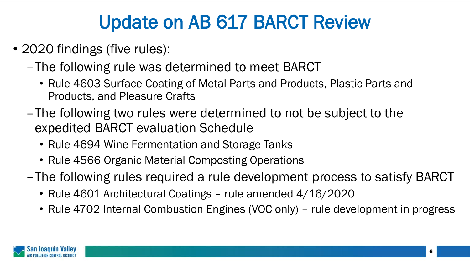### Update on AB 617 BARCT Review

- 2020 findings (five rules):
	- –The following rule was determined to meet BARCT
		- Rule 4603 Surface Coating of Metal Parts and Products, Plastic Parts and Products, and Pleasure Crafts
	- –The following two rules were determined to not be subject to the expedited BARCT evaluation Schedule
		- Rule 4694 Wine Fermentation and Storage Tanks
		- Rule 4566 Organic Material Composting Operations
	- –The following rules required a rule development process to satisfy BARCT
		- Rule 4601 Architectural Coatings rule amended 4/16/2020
		- Rule 4702 Internal Combustion Engines (VOC only) rule development in progress

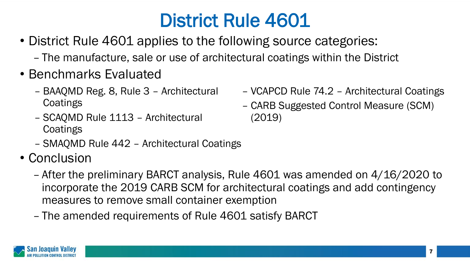- District Rule 4601 applies to the following source categories:
	- The manufacture, sale or use of architectural coatings within the District
- Benchmarks Evaluated
	- BAAQMD Reg. 8, Rule 3 Architectural **Coatings**
	- SCAQMD Rule 1113 Architectural **Coatings**
	- SMAQMD Rule 442 Architectural Coatings
- Conclusion
	- After the preliminary BARCT analysis, Rule 4601 was amended on 4/16/2020 to incorporate the 2019 CARB SCM for architectural coatings and add contingency measures to remove small container exemption
	- The amended requirements of Rule 4601 satisfy BARCT



- VCAPCD Rule 74.2 Architectural Coatings
- CARB Suggested Control Measure (SCM) (2019)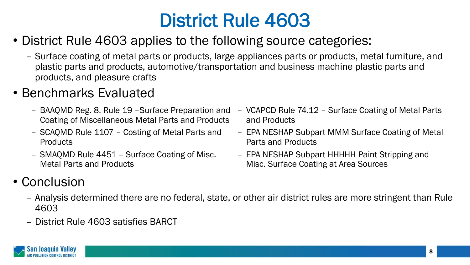- District Rule 4603 applies to the following source categories:
	- Surface coating of metal parts or products, large appliances parts or products, metal furniture, and plastic parts and products, automotive/transportation and business machine plastic parts and products, and pleasure crafts

#### • Benchmarks Evaluated

- BAAQMD Reg. 8, Rule 19 –Surface Preparation and Coating of Miscellaneous Metal Parts and Products
- SCAQMD Rule 1107 Costing of Metal Parts and Products
- SMAQMD Rule 4451 Surface Coating of Misc. Metal Parts and Products
- VCAPCD Rule 74.12 Surface Coating of Metal Parts and Products
- EPA NESHAP Subpart MMM Surface Coating of Metal Parts and Products
- EPA NESHAP Subpart HHHHH Paint Stripping and Misc. Surface Coating at Area Sources

#### • Conclusion

- Analysis determined there are no federal, state, or other air district rules are more stringent than Rule 4603
- District Rule 4603 satisfies BARCT

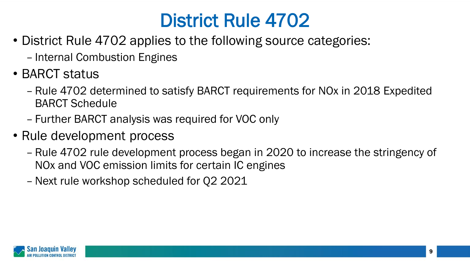- District Rule 4702 applies to the following source categories:
	- Internal Combustion Engines
- BARCT status
	- Rule 4702 determined to satisfy BARCT requirements for NOx in 2018 Expedited BARCT Schedule
	- Further BARCT analysis was required for VOC only
- Rule development process
	- Rule 4702 rule development process began in 2020 to increase the stringency of NOx and VOC emission limits for certain IC engines
	- –Next rule workshop scheduled for Q2 2021

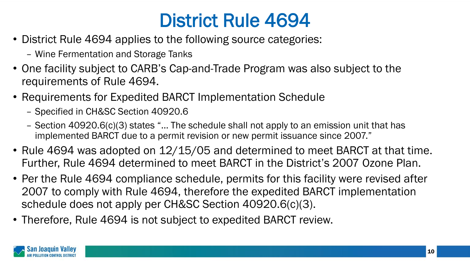- District Rule 4694 applies to the following source categories:
	- Wine Fermentation and Storage Tanks
- One facility subject to CARB's Cap-and-Trade Program was also subject to the requirements of Rule 4694.
- Requirements for Expedited BARCT Implementation Schedule
	- Specified in CH&SC Section 40920.6
	- Section 40920.6(c)(3) states "… The schedule shall not apply to an emission unit that has implemented BARCT due to a permit revision or new permit issuance since 2007."
- Rule 4694 was adopted on 12/15/05 and determined to meet BARCT at that time. Further, Rule 4694 determined to meet BARCT in the District's 2007 Ozone Plan.
- Per the Rule 4694 compliance schedule, permits for this facility were revised after 2007 to comply with Rule 4694, therefore the expedited BARCT implementation schedule does not apply per CH&SC Section 40920.6(c)(3).
- Therefore, Rule 4694 is not subject to expedited BARCT review.

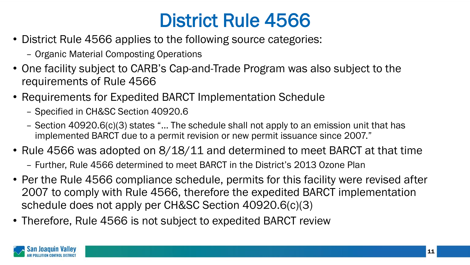- District Rule 4566 applies to the following source categories:
	- Organic Material Composting Operations
- One facility subject to CARB's Cap-and-Trade Program was also subject to the requirements of Rule 4566
- Requirements for Expedited BARCT Implementation Schedule
	- Specified in CH&SC Section 40920.6
	- Section 40920.6(c)(3) states "… The schedule shall not apply to an emission unit that has implemented BARCT due to a permit revision or new permit issuance since 2007."
- Rule 4566 was adopted on 8/18/11 and determined to meet BARCT at that time
	- Further, Rule 4566 determined to meet BARCT in the District's 2013 Ozone Plan
- Per the Rule 4566 compliance schedule, permits for this facility were revised after 2007 to comply with Rule 4566, therefore the expedited BARCT implementation schedule does not apply per CH&SC Section 40920.6(c)(3)
- Therefore, Rule 4566 is not subject to expedited BARCT review

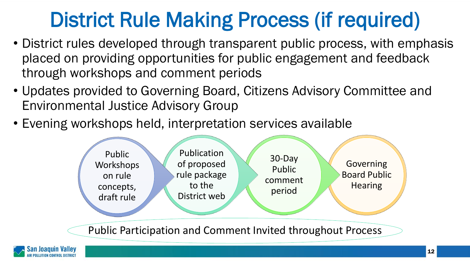# District Rule Making Process (if required)

- District rules developed through transparent public process, with emphasis placed on providing opportunities for public engagement and feedback through workshops and comment periods
- Updates provided to Governing Board, Citizens Advisory Committee and Environmental Justice Advisory Group
- Evening workshops held, interpretation services available



Public Participation and Comment Invited throughout Process